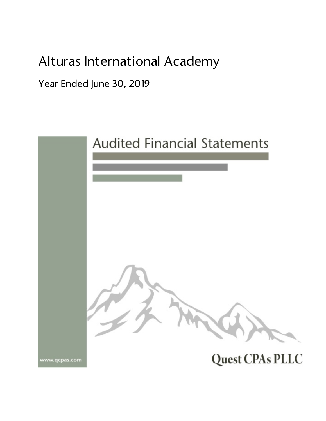# Alturas International Academy

Year Ended June 30, 2019

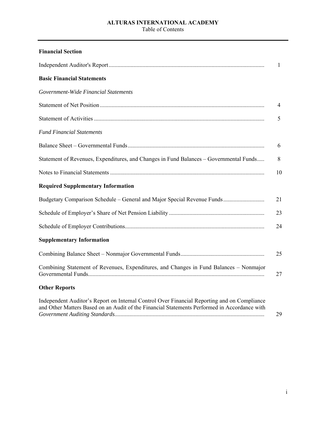#### **ALTURAS INTERNATIONAL ACADEMY**  Table of Contents

| <b>Financial Section</b>                                                                                                                                                                    |    |
|---------------------------------------------------------------------------------------------------------------------------------------------------------------------------------------------|----|
|                                                                                                                                                                                             | 1  |
| <b>Basic Financial Statements</b>                                                                                                                                                           |    |
| Government-Wide Financial Statements                                                                                                                                                        |    |
|                                                                                                                                                                                             | 4  |
|                                                                                                                                                                                             | 5  |
| <b>Fund Financial Statements</b>                                                                                                                                                            |    |
|                                                                                                                                                                                             | 6  |
| Statement of Revenues, Expenditures, and Changes in Fund Balances - Governmental Funds                                                                                                      | 8  |
|                                                                                                                                                                                             | 10 |
| <b>Required Supplementary Information</b>                                                                                                                                                   |    |
| Budgetary Comparison Schedule - General and Major Special Revenue Funds                                                                                                                     | 21 |
|                                                                                                                                                                                             | 23 |
|                                                                                                                                                                                             | 24 |
| <b>Supplementary Information</b>                                                                                                                                                            |    |
|                                                                                                                                                                                             | 25 |
| Combining Statement of Revenues, Expenditures, and Changes in Fund Balances – Nonmajor                                                                                                      | 27 |
| <b>Other Reports</b>                                                                                                                                                                        |    |
| Independent Auditor's Report on Internal Control Over Financial Reporting and on Compliance<br>and Other Matters Based on an Audit of the Financial Statements Performed in Accordance with | 29 |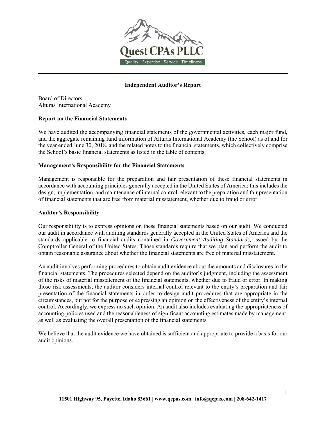

#### **Independent Auditor's Report**

Board of Directors Alturas International Academy

#### **Report on the Financial Statements**

We have audited the accompanying financial statements of the governmental activities, each major fund, and the aggregate remaining fund information of Alturas International Academy (the School) as of and for the year ended June 30, 2018, and the related notes to the financial statements, which collectively comprise the School's basic financial statements as listed in the table of contents.

#### **Management's Responsibility for the Financial Statements**

Management is responsible for the preparation and fair presentation of these financial statements in accordance with accounting principles generally accepted in the United States of America; this includes the design, implementation, and maintenance of internal control relevant to the preparation and fair presentation of financial statements that are free from material misstatement, whether due to fraud or error.

#### **Auditor's Responsibility**

Our responsibility is to express opinions on these financial statements based on our audit. We conducted our audit in accordance with auditing standards generally accepted in the United States of America and the standards applicable to financial audits contained in *Government Auditing Standards,* issued by the Comptroller General of the United States. Those standards require that we plan and perform the audit to obtain reasonable assurance about whether the financial statements are free of material misstatement.

An audit involves performing procedures to obtain audit evidence about the amounts and disclosures in the financial statements. The procedures selected depend on the auditor's judgment, including the assessment of the risks of material misstatement of the financial statements, whether due to fraud or error. In making those risk assessments, the auditor considers internal control relevant to the entity's preparation and fair presentation of the financial statements in order to design audit procedures that are appropriate in the circumstances, but not for the purpose of expressing an opinion on the effectiveness of the entity's internal control. Accordingly, we express no such opinion. An audit also includes evaluating the appropriateness of accounting policies used and the reasonableness of significant accounting estimates made by management, as well as evaluating the overall presentation of the financial statements.

We believe that the audit evidence we have obtained is sufficient and appropriate to provide a basis for our audit opinions.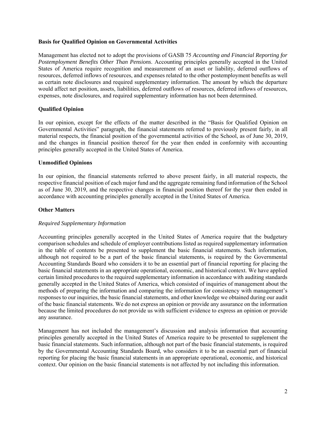#### **Basis for Qualified Opinion on Governmental Activities**

Management has elected not to adopt the provisions of GASB 75 *Accounting and Financial Reporting for Postemployment Benefits Other Than Pensions*. Accounting principles generally accepted in the United States of America require recognition and measurement of an asset or liability, deferred outflows of resources, deferred inflows of resources, and expenses related to the other postemployment benefits as well as certain note disclosures and required supplementary information. The amount by which the departure would affect net position, assets, liabilities, deferred outflows of resources, deferred inflows of resources, expenses, note disclosures, and required supplementary information has not been determined.

#### **Qualified Opinion**

In our opinion, except for the effects of the matter described in the "Basis for Qualified Opinion on Governmental Activities" paragraph, the financial statements referred to previously present fairly, in all material respects, the financial position of the governmental activities of the School, as of June 30, 2019, and the changes in financial position thereof for the year then ended in conformity with accounting principles generally accepted in the United States of America.

#### **Unmodified Opinions**

In our opinion, the financial statements referred to above present fairly, in all material respects, the respective financial position of each major fund and the aggregate remaining fund information of the School as of June 30, 2019, and the respective changes in financial position thereof for the year then ended in accordance with accounting principles generally accepted in the United States of America.

#### **Other Matters**

#### *Required Supplementary Information*

Accounting principles generally accepted in the United States of America require that the budgetary comparison schedules and schedule of employer contributions listed as required supplementary information in the table of contents be presented to supplement the basic financial statements. Such information, although not required to be a part of the basic financial statements, is required by the Governmental Accounting Standards Board who considers it to be an essential part of financial reporting for placing the basic financial statements in an appropriate operational, economic, and historical context. We have applied certain limited procedures to the required supplementary information in accordance with auditing standards generally accepted in the United States of America, which consisted of inquiries of management about the methods of preparing the information and comparing the information for consistency with management's responses to our inquiries, the basic financial statements, and other knowledge we obtained during our audit of the basic financial statements. We do not express an opinion or provide any assurance on the information because the limited procedures do not provide us with sufficient evidence to express an opinion or provide any assurance.

Management has not included the management's discussion and analysis information that accounting principles generally accepted in the United States of America require to be presented to supplement the basic financial statements. Such information, although not part of the basic financial statements, is required by the Governmental Accounting Standards Board, who considers it to be an essential part of financial reporting for placing the basic financial statements in an appropriate operational, economic, and historical context. Our opinion on the basic financial statements is not affected by not including this information.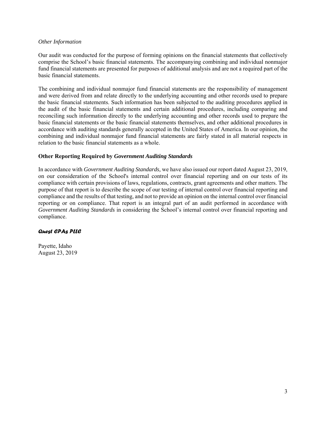#### *Other Information*

Our audit was conducted for the purpose of forming opinions on the financial statements that collectively comprise the School's basic financial statements. The accompanying combining and individual nonmajor fund financial statements are presented for purposes of additional analysis and are not a required part of the basic financial statements.

The combining and individual nonmajor fund financial statements are the responsibility of management and were derived from and relate directly to the underlying accounting and other records used to prepare the basic financial statements. Such information has been subjected to the auditing procedures applied in the audit of the basic financial statements and certain additional procedures, including comparing and reconciling such information directly to the underlying accounting and other records used to prepare the basic financial statements or the basic financial statements themselves, and other additional procedures in accordance with auditing standards generally accepted in the United States of America. In our opinion, the combining and individual nonmajor fund financial statements are fairly stated in all material respects in relation to the basic financial statements as a whole.

#### **Other Reporting Required by** *Government Auditing Standards*

In accordance with *Government Auditing Standards,* we have also issued our report dated August 23, 2019, on our consideration of the School's internal control over financial reporting and on our tests of its compliance with certain provisions of laws, regulations, contracts, grant agreements and other matters. The purpose of that report is to describe the scope of our testing of internal control over financial reporting and compliance and the results of that testing, and not to provide an opinion on the internal control over financial reporting or on compliance. That report is an integral part of an audit performed in accordance with *Government Auditing Standards* in considering the School's internal control over financial reporting and compliance.

#### Quest CPAs PLLC

Payette, Idaho August 23, 2019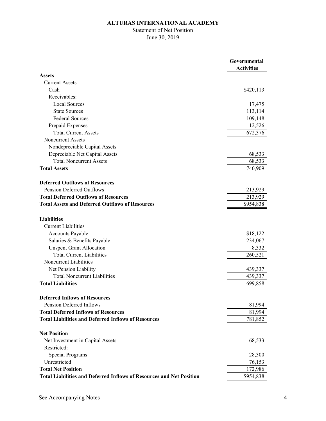# Statement of Net Position June 30, 2019

|                                                                             | Governmental<br><b>Activities</b> |
|-----------------------------------------------------------------------------|-----------------------------------|
| <b>Assets</b>                                                               |                                   |
| <b>Current Assets</b>                                                       |                                   |
| Cash                                                                        | \$420,113                         |
| Receivables:                                                                |                                   |
| <b>Local Sources</b>                                                        | 17,475                            |
| <b>State Sources</b>                                                        | 113,114                           |
| <b>Federal Sources</b>                                                      | 109,148                           |
| Prepaid Expenses                                                            | 12,526                            |
| <b>Total Current Assets</b>                                                 | 672,376                           |
| <b>Noncurrent Assets</b>                                                    |                                   |
| Nondepreciable Capital Assets                                               |                                   |
| Depreciable Net Capital Assets                                              | 68,533                            |
| <b>Total Noncurrent Assets</b>                                              | 68,533                            |
| <b>Total Assets</b>                                                         | 740,909                           |
| <b>Deferred Outflows of Resources</b>                                       |                                   |
| Pension Deferred Outflows                                                   | 213,929                           |
| <b>Total Deferred Outflows of Resources</b>                                 | 213,929                           |
| <b>Total Assets and Deferred Outflows of Resources</b>                      | \$954,838                         |
| <b>Liabilities</b>                                                          |                                   |
| <b>Current Liabilities</b>                                                  |                                   |
| Accounts Payable                                                            | \$18,122                          |
| Salaries & Benefits Payable                                                 | 234,067                           |
| <b>Unspent Grant Allocation</b>                                             | 8,332                             |
| <b>Total Current Liabilities</b>                                            | 260,521                           |
| Noncurrent Liabilities                                                      |                                   |
| Net Pension Liability                                                       | 439,337                           |
| <b>Total Noncurrent Liabilities</b>                                         | 439,337                           |
| <b>Total Liabilities</b>                                                    | 699,858                           |
| <b>Deferred Inflows of Resources</b>                                        |                                   |
| Pension Deferred Inflows                                                    | 81,994                            |
| <b>Total Deferred Inflows of Resources</b>                                  | 81,994                            |
| <b>Total Liabilities and Deferred Inflows of Resources</b>                  | 781,852                           |
| <b>Net Position</b>                                                         |                                   |
| Net Investment in Capital Assets                                            | 68,533                            |
| Restricted:                                                                 |                                   |
| <b>Special Programs</b>                                                     | 28,300                            |
| Unrestricted                                                                | 76,153                            |
| <b>Total Net Position</b>                                                   | 172,986                           |
| <b>Total Liabilities and Deferred Inflows of Resources and Net Position</b> | \$954,838                         |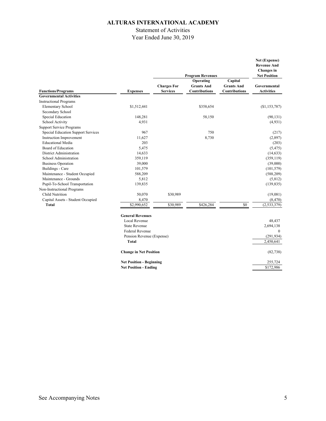## Statement of Activities

Year Ended June 30, 2019

|                                    |                           |                    | <b>Program Revenues</b> |                      | Net (Expense)<br><b>Revenue And</b><br>Changes in<br><b>Net Position</b> |
|------------------------------------|---------------------------|--------------------|-------------------------|----------------------|--------------------------------------------------------------------------|
|                                    |                           |                    | Operating               | Capital              |                                                                          |
|                                    |                           | <b>Charges For</b> | <b>Grants And</b>       | <b>Grants And</b>    | Governmental                                                             |
| <b>Functions/Programs</b>          | <b>Expenses</b>           | <b>Services</b>    | <b>Contributions</b>    | <b>Contributions</b> | <b>Activities</b>                                                        |
| <b>Governmental Activities</b>     |                           |                    |                         |                      |                                                                          |
| <b>Instructional Programs</b>      |                           |                    |                         |                      |                                                                          |
| <b>Elementary School</b>           | \$1,512,441               |                    | \$358,654               |                      | (\$1,153,787)                                                            |
| Secondary School                   |                           |                    |                         |                      |                                                                          |
| Special Education                  | 148,281                   |                    | 58,150                  |                      | (90, 131)                                                                |
| School Activity                    | 4,931                     |                    |                         |                      | (4,931)                                                                  |
| <b>Support Service Programs</b>    |                           |                    |                         |                      |                                                                          |
| Special Education Support Services | 967                       |                    | 750                     |                      | (217)                                                                    |
| <b>Instruction Improvement</b>     | 11,627                    |                    | 8,730                   |                      | (2,897)                                                                  |
| <b>Educational Media</b>           | 203                       |                    |                         |                      | (203)                                                                    |
| Board of Education                 | 5,475                     |                    |                         |                      | (5, 475)                                                                 |
| District Administration            | 14,633                    |                    |                         |                      | (14, 633)                                                                |
| School Administration              | 359,119                   |                    |                         |                      | (359, 119)                                                               |
| <b>Business Operation</b>          | 39,000                    |                    |                         |                      | (39,000)                                                                 |
| Buildings - Care                   | 101,579                   |                    |                         |                      | (101, 579)                                                               |
| Maintenance - Student Occupied     | 588,209                   |                    |                         |                      | (588, 209)                                                               |
| Maintenance - Grounds              | 5,812                     |                    |                         |                      | (5,812)                                                                  |
| Pupil-To-School Transportation     | 139,835                   |                    |                         |                      | (139, 835)                                                               |
| Non-Instructional Programs         |                           |                    |                         |                      |                                                                          |
| Child Nutrition                    | 50,070                    | \$30,989           |                         |                      | (19,081)                                                                 |
| Capital Assets - Student Occupied  | 8,470                     |                    |                         |                      | (8, 470)                                                                 |
| <b>Total</b>                       | $\overline{$2,990,652}$   | \$30,989           | \$426,284               | \$0                  | (2, 533, 379)                                                            |
|                                    | <b>General Revenues</b>   |                    |                         |                      |                                                                          |
|                                    | Local Revenue             |                    |                         |                      | 48,437                                                                   |
|                                    | <b>State Revenue</b>      |                    |                         |                      | 2,694,138                                                                |
|                                    | <b>Federal Revenue</b>    |                    |                         |                      | $\theta$                                                                 |
|                                    | Pension Revenue (Expense) |                    |                         |                      | (291, 934)                                                               |
|                                    | <b>Total</b>              |                    |                         |                      | 2,450,641                                                                |

| <b>Change in Net Position</b>   | (82,738)  |
|---------------------------------|-----------|
| <b>Net Position - Beginning</b> | 255,724   |
| <b>Net Position - Ending</b>    | \$172,986 |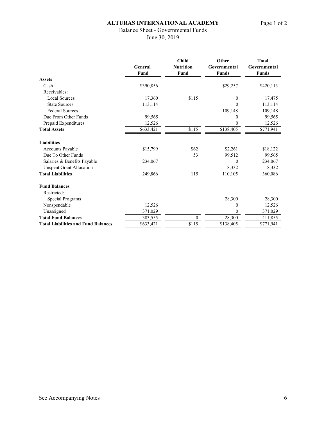# Balance Sheet - Governmental Funds

June 30, 2019

|                                            | General   | <b>Nutrition</b> | <b>Child</b>     | Other        | <b>Total</b><br>Governmental |
|--------------------------------------------|-----------|------------------|------------------|--------------|------------------------------|
|                                            |           |                  |                  | Governmental |                              |
|                                            | Fund      | Fund             | <b>Funds</b>     | <b>Funds</b> |                              |
| <b>Assets</b>                              |           |                  |                  |              |                              |
| Cash                                       | \$390,856 |                  | \$29,257         | \$420,113    |                              |
| Receivables:                               |           |                  |                  |              |                              |
| <b>Local Sources</b>                       | 17,360    | \$115            | 0                | 17,475       |                              |
| <b>State Sources</b>                       | 113,114   |                  | 0                | 113,114      |                              |
| <b>Federal Sources</b>                     |           |                  | 109,148          | 109,148      |                              |
| Due From Other Funds                       | 99,565    |                  | 0                | 99,565       |                              |
| Prepaid Expenditures                       | 12,526    |                  | $\boldsymbol{0}$ | 12,526       |                              |
| <b>Total Assets</b>                        | \$633,421 | \$115            | \$138,405        | \$771,941    |                              |
| <b>Liabilities</b>                         |           |                  |                  |              |                              |
| <b>Accounts Payable</b>                    | \$15,799  | \$62             | \$2,261          | \$18,122     |                              |
| Due To Other Funds                         |           | 53               | 99,512           | 99,565       |                              |
| Salaries & Benefits Payable                | 234,067   |                  | $\boldsymbol{0}$ | 234,067      |                              |
| <b>Unspent Grant Allocation</b>            |           |                  | 8,332            | 8,332        |                              |
| <b>Total Liabilities</b>                   | 249,866   | 115              | 110,105          | 360,086      |                              |
| <b>Fund Balances</b>                       |           |                  |                  |              |                              |
| Restricted:                                |           |                  |                  |              |                              |
| Special Programs                           |           |                  | 28,300           | 28,300       |                              |
| Nonspendable                               | 12,526    |                  | 0                | 12,526       |                              |
| Unassigned                                 | 371,029   |                  | 0                | 371,029      |                              |
| <b>Total Fund Balances</b>                 | 383,555   | $\theta$         | 28,300           | 411,855      |                              |
| <b>Total Liabilities and Fund Balances</b> | \$633,421 | \$115            | \$138,405        | \$771,941    |                              |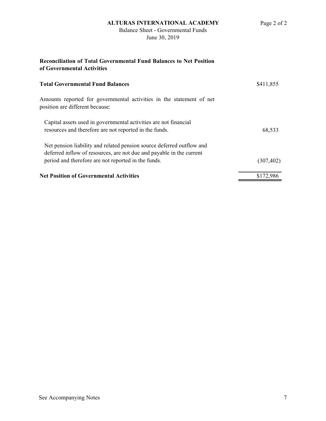# Balance Sheet - Governmental Funds June 30, 2019

# **Reconciliation of Total Governmental Fund Balances to Net Position of Governmental Activities Total Governmental Fund Balances** \$411,855 Amounts reported for governmental activities in the statement of net position are different because: Capital assets used in governmental activities are not financial resources and therefore are not reported in the funds. 68,533 Net pension liability and related pension source deferred outflow and deferred inflow of resources, are not due and payable in the current period and therefore are not reported in the funds. (307,402) Net Position of Governmental Activities **8172,986**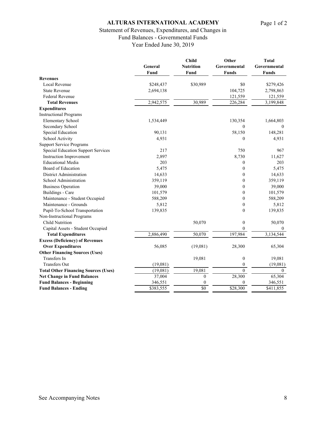# Statement of Revenues, Expenditures, and Changes in

Fund Balances - Governmental Funds

Year Ended June 30, 2019

|                                             | General   | <b>Child</b><br><b>Nutrition</b> | Other<br>Governmental | <b>Total</b><br>Governmental |
|---------------------------------------------|-----------|----------------------------------|-----------------------|------------------------------|
|                                             | Fund      | Fund                             | <b>Funds</b>          | <b>Funds</b>                 |
| <b>Revenues</b>                             |           |                                  |                       |                              |
| Local Revenue                               | \$248,437 | \$30,989                         | \$0                   | \$279,426                    |
| <b>State Revenue</b>                        | 2,694,138 |                                  | 104,725               | 2,798,863                    |
| Federal Revenue                             |           |                                  | 121,559               | 121,559                      |
| <b>Total Revenues</b>                       | 2,942,575 | 30,989                           | 226,284               | 3,199,848                    |
| <b>Expenditures</b>                         |           |                                  |                       |                              |
| <b>Instructional Programs</b>               |           |                                  |                       |                              |
| <b>Elementary School</b>                    | 1,534,449 |                                  | 130,354               | 1,664,803                    |
| Secondary School                            |           |                                  | $\mathbf{0}$          | $\theta$                     |
| Special Education                           | 90,131    |                                  | 58,150                | 148,281                      |
| School Activity                             | 4,931     |                                  | 0                     | 4,931                        |
| <b>Support Service Programs</b>             |           |                                  |                       |                              |
| <b>Special Education Support Services</b>   | 217       |                                  | 750                   | 967                          |
| <b>Instruction Improvement</b>              | 2,897     |                                  | 8,730                 | 11,627                       |
| <b>Educational Media</b>                    | 203       |                                  | 0                     | 203                          |
| Board of Education                          | 5,475     |                                  | $\mathbf{0}$          | 5,475                        |
| <b>District Administration</b>              | 14,633    |                                  | $\boldsymbol{0}$      | 14,633                       |
| School Administration                       | 359,119   |                                  | $\boldsymbol{0}$      | 359,119                      |
| <b>Business Operation</b>                   | 39,000    |                                  | $\boldsymbol{0}$      | 39,000                       |
| Buildings - Care                            | 101,579   |                                  | $\boldsymbol{0}$      | 101,579                      |
| Maintenance - Student Occupied              | 588,209   |                                  | $\boldsymbol{0}$      | 588,209                      |
| Maintenance - Grounds                       | 5,812     |                                  | $\boldsymbol{0}$      | 5,812                        |
| Pupil-To-School Transportation              | 139,835   |                                  | $\theta$              | 139,835                      |
| Non-Instructional Programs                  |           |                                  |                       |                              |
| <b>Child Nutrition</b>                      |           | 50,070                           | $\boldsymbol{0}$      | 50,070                       |
| Capital Assets - Student Occupied           |           |                                  | $\mathbf{0}$          | $\theta$                     |
| <b>Total Expenditures</b>                   | 2,886,490 | 50,070                           | 197,984               | 3,134,544                    |
| <b>Excess (Deficiency) of Revenues</b>      |           |                                  |                       |                              |
| <b>Over Expenditures</b>                    | 56,085    | (19,081)                         | 28,300                | 65,304                       |
| <b>Other Financing Sources (Uses)</b>       |           |                                  |                       |                              |
| Transfers In                                |           | 19,081                           | $\boldsymbol{0}$      | 19,081                       |
| <b>Transfers Out</b>                        | (19,081)  |                                  | $\boldsymbol{0}$      | (19,081)                     |
| <b>Total Other Financing Sources (Uses)</b> | (19,081)  | 19,081                           | $\boldsymbol{0}$      | $\overline{0}$               |
| <b>Net Change in Fund Balances</b>          | 37,004    | $\mathbf{0}$                     | 28,300                | 65,304                       |
| <b>Fund Balances - Beginning</b>            | 346,551   | $\mathbf{0}$                     | 0                     | 346,551                      |
| <b>Fund Balances - Ending</b>               | \$383,555 | \$0                              | \$28,300              | \$411,855                    |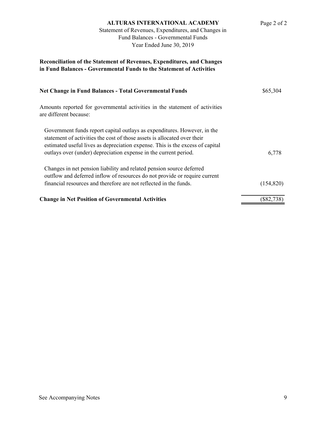| <b>ALTURAS INTERNATIONAL ACADEMY</b><br>Statement of Revenues, Expenditures, and Changes in<br>Fund Balances - Governmental Funds<br>Year Ended June 30, 2019                                                                         | Page 2 of 2  |
|---------------------------------------------------------------------------------------------------------------------------------------------------------------------------------------------------------------------------------------|--------------|
| Reconciliation of the Statement of Revenues, Expenditures, and Changes<br>in Fund Balances - Governmental Funds to the Statement of Activities                                                                                        |              |
| <b>Net Change in Fund Balances - Total Governmental Funds</b>                                                                                                                                                                         | \$65,304     |
| Amounts reported for governmental activities in the statement of activities<br>are different because:                                                                                                                                 |              |
| Government funds report capital outlays as expenditures. However, in the<br>statement of activities the cost of those assets is allocated over their<br>estimated useful lives as depreciation expense. This is the excess of capital |              |
| outlays over (under) depreciation expense in the current period.                                                                                                                                                                      | 6,778        |
| Changes in net pension liability and related pension source deferred<br>outflow and deferred inflow of resources do not provide or require current                                                                                    |              |
| financial resources and therefore are not reflected in the funds.                                                                                                                                                                     | (154, 820)   |
| <b>Change in Net Position of Governmental Activities</b>                                                                                                                                                                              | $(\$82,738)$ |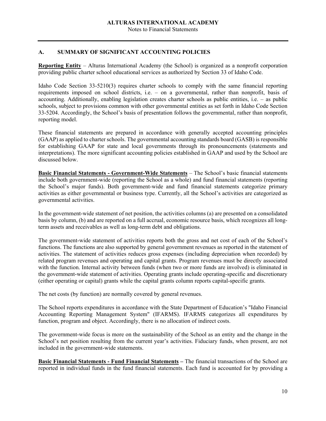Notes to Financial Statements

#### **A. SUMMARY OF SIGNIFICANT ACCOUNTING POLICIES**

**Reporting Entity** – Alturas International Academy (the School) is organized as a nonprofit corporation providing public charter school educational services as authorized by Section 33 of Idaho Code.

Idaho Code Section 33-5210(3) requires charter schools to comply with the same financial reporting requirements imposed on school districts, i.e. – on a governmental, rather than nonprofit, basis of accounting. Additionally, enabling legislation creates charter schools as public entities, i.e. – as public schools, subject to provisions common with other governmental entities as set forth in Idaho Code Section 33-5204. Accordingly, the School's basis of presentation follows the governmental, rather than nonprofit, reporting model.

These financial statements are prepared in accordance with generally accepted accounting principles (GAAP) as applied to charter schools. The governmental accounting standards board (GASB) is responsible for establishing GAAP for state and local governments through its pronouncements (statements and interpretations). The more significant accounting policies established in GAAP and used by the School are discussed below.

**Basic Financial Statements - Government-Wide Statements** – The School's basic financial statements include both government-wide (reporting the School as a whole) and fund financial statements (reporting the School's major funds). Both government-wide and fund financial statements categorize primary activities as either governmental or business type. Currently, all the School's activities are categorized as governmental activities.

In the government-wide statement of net position, the activities columns (a) are presented on a consolidated basis by column, (b) and are reported on a full accrual, economic resource basis, which recognizes all longterm assets and receivables as well as long-term debt and obligations.

The government-wide statement of activities reports both the gross and net cost of each of the School's functions. The functions are also supported by general government revenues as reported in the statement of activities. The statement of activities reduces gross expenses (including depreciation when recorded) by related program revenues and operating and capital grants. Program revenues must be directly associated with the function. Internal activity between funds (when two or more funds are involved) is eliminated in the government-wide statement of activities. Operating grants include operating-specific and discretionary (either operating or capital) grants while the capital grants column reports capital-specific grants.

The net costs (by function) are normally covered by general revenues.

The School reports expenditures in accordance with the State Department of Education's "Idaho Financial Accounting Reporting Management System" (IFARMS). IFARMS categorizes all expenditures by function, program and object. Accordingly, there is no allocation of indirect costs.

The government-wide focus is more on the sustainability of the School as an entity and the change in the School's net position resulting from the current year's activities. Fiduciary funds, when present, are not included in the government-wide statements.

**Basic Financial Statements - Fund Financial Statements –** The financial transactions of the School are reported in individual funds in the fund financial statements. Each fund is accounted for by providing a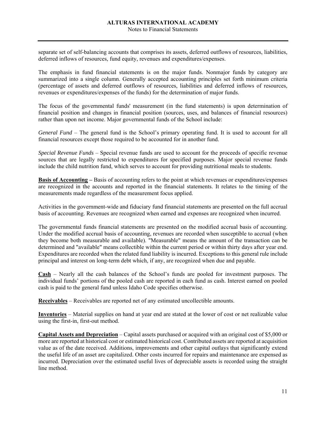separate set of self-balancing accounts that comprises its assets, deferred outflows of resources, liabilities, deferred inflows of resources, fund equity, revenues and expenditures/expenses.

The emphasis in fund financial statements is on the major funds. Nonmajor funds by category are summarized into a single column. Generally accepted accounting principles set forth minimum criteria (percentage of assets and deferred outflows of resources, liabilities and deferred inflows of resources, revenues or expenditures/expenses of the funds) for the determination of major funds.

The focus of the governmental funds' measurement (in the fund statements) is upon determination of financial position and changes in financial position (sources, uses, and balances of financial resources) rather than upon net income. Major governmental funds of the School include:

*General Fund* – The general fund is the School's primary operating fund. It is used to account for all financial resources except those required to be accounted for in another fund.

*Special Revenue Funds* – Special revenue funds are used to account for the proceeds of specific revenue sources that are legally restricted to expenditures for specified purposes. Major special revenue funds include the child nutrition fund, which serves to account for providing nutritional meals to students.

**Basis of Accounting –** Basis of accounting refers to the point at which revenues or expenditures/expenses are recognized in the accounts and reported in the financial statements. It relates to the timing of the measurements made regardless of the measurement focus applied.

Activities in the government-wide and fiduciary fund financial statements are presented on the full accrual basis of accounting. Revenues are recognized when earned and expenses are recognized when incurred.

The governmental funds financial statements are presented on the modified accrual basis of accounting. Under the modified accrual basis of accounting, revenues are recorded when susceptible to accrual (when they become both measurable and available). "Measurable" means the amount of the transaction can be determined and "available" means collectible within the current period or within thirty days after year end. Expenditures are recorded when the related fund liability is incurred. Exceptions to this general rule include principal and interest on long-term debt which, if any, are recognized when due and payable.

**Cash** – Nearly all the cash balances of the School's funds are pooled for investment purposes. The individual funds' portions of the pooled cash are reported in each fund as cash. Interest earned on pooled cash is paid to the general fund unless Idaho Code specifies otherwise.

**Receivables** – Receivables are reported net of any estimated uncollectible amounts.

**Inventories** – Material supplies on hand at year end are stated at the lower of cost or net realizable value using the first-in, first-out method.

**Capital Assets and Depreciation** – Capital assets purchased or acquired with an original cost of \$5,000 or more are reported at historical cost or estimated historical cost. Contributed assets are reported at acquisition value as of the date received. Additions, improvements and other capital outlays that significantly extend the useful life of an asset are capitalized. Other costs incurred for repairs and maintenance are expensed as incurred. Depreciation over the estimated useful lives of depreciable assets is recorded using the straight line method.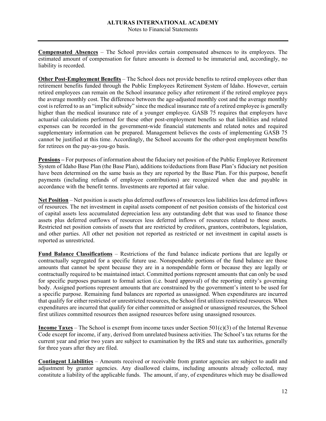Notes to Financial Statements

**Compensated Absences** – The School provides certain compensated absences to its employees. The estimated amount of compensation for future amounts is deemed to be immaterial and, accordingly, no liability is recorded.

**Other Post-Employment Benefits** – The School does not provide benefits to retired employees other than retirement benefits funded through the Public Employees Retirement System of Idaho. However, certain retired employees can remain on the School insurance policy after retirement if the retired employee pays the average monthly cost. The difference between the age-adjusted monthly cost and the average monthly cost is referred to as an "implicit subsidy" since the medical insurance rate of a retired employee is generally higher than the medical insurance rate of a younger employee. GASB 75 requires that employers have actuarial calculations performed for these other post-employment benefits so that liabilities and related expenses can be recorded in the government-wide financial statements and related notes and required supplementary information can be prepared. Management believes the costs of implementing GASB 75 cannot be justified at this time. Accordingly, the School accounts for the other-post employment benefits for retirees on the pay-as-you-go basis.

**Pensions –** For purposes of information about the fiduciary net position of the Public Employee Retirement System of Idaho Base Plan (the Base Plan), additions to/deductions from Base Plan's fiduciary net position have been determined on the same basis as they are reported by the Base Plan. For this purpose, benefit payments (including refunds of employee contributions) are recognized when due and payable in accordance with the benefit terms. Investments are reported at fair value.

**Net Position** – Net position is assets plus deferred outflows of resources less liabilities less deferred inflows of resources. The net investment in capital assets component of net position consists of the historical cost of capital assets less accumulated depreciation less any outstanding debt that was used to finance those assets plus deferred outflows of resources less deferred inflows of resources related to those assets. Restricted net position consists of assets that are restricted by creditors, grantors, contributors, legislation, and other parties. All other net position not reported as restricted or net investment in capital assets is reported as unrestricted.

**Fund Balance Classifications** – Restrictions of the fund balance indicate portions that are legally or contractually segregated for a specific future use. Nonspendable portions of the fund balance are those amounts that cannot be spent because they are in a nonspendable form or because they are legally or contractually required to be maintained intact. Committed portions represent amounts that can only be used for specific purposes pursuant to formal action (i.e. board approval) of the reporting entity's governing body. Assigned portions represent amounts that are constrained by the government's intent to be used for a specific purpose. Remaining fund balances are reported as unassigned. When expenditures are incurred that qualify for either restricted or unrestricted resources, the School first utilizes restricted resources. When expenditures are incurred that qualify for either committed or assigned or unassigned resources, the School first utilizes committed resources then assigned resources before using unassigned resources.

**Income Taxes** – The School is exempt from income taxes under Section 501(c)(3) of the Internal Revenue Code except for income, if any, derived from unrelated business activities. The School's tax returns for the current year and prior two years are subject to examination by the IRS and state tax authorities, generally for three years after they are filed.

**Contingent Liabilities** – Amounts received or receivable from grantor agencies are subject to audit and adjustment by grantor agencies. Any disallowed claims, including amounts already collected, may constitute a liability of the applicable funds. The amount, if any, of expenditures which may be disallowed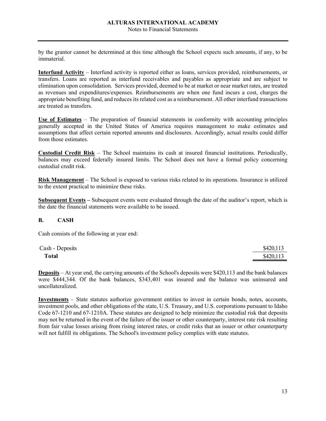by the grantor cannot be determined at this time although the School expects such amounts, if any, to be immaterial.

**Interfund Activity** – Interfund activity is reported either as loans, services provided, reimbursements, or transfers. Loans are reported as interfund receivables and payables as appropriate and are subject to elimination upon consolidation. Services provided, deemed to be at market or near market rates, are treated as revenues and expenditures/expenses. Reimbursements are when one fund incurs a cost, charges the appropriate benefiting fund, and reduces its related cost as a reimbursement. All other interfund transactions are treated as transfers.

**Use of Estimates** – The preparation of financial statements in conformity with accounting principles generally accepted in the United States of America requires management to make estimates and assumptions that affect certain reported amounts and disclosures. Accordingly, actual results could differ from those estimates.

**Custodial Credit Risk** – The School maintains its cash at insured financial institutions. Periodically, balances may exceed federally insured limits. The School does not have a formal policy concerning custodial credit risk.

**Risk Management** – The School is exposed to various risks related to its operations. Insurance is utilized to the extent practical to minimize these risks.

**Subsequent Events –** Subsequent events were evaluated through the date of the auditor's report, which is the date the financial statements were available to be issued.

#### **B. CASH**

Cash consists of the following at year end:

| Cash - Deposits | \$420,113 |
|-----------------|-----------|
| <b>Total</b>    | \$420,113 |

**Deposits** – At year end, the carrying amounts of the School's deposits were \$420,113 and the bank balances were \$444,344. Of the bank balances, \$343,401 was insured and the balance was uninsured and uncollateralized.

**Investments** – State statutes authorize government entities to invest in certain bonds, notes, accounts, investment pools, and other obligations of the state, U.S. Treasury, and U.S. corporations pursuant to Idaho Code 67-1210 and 67-1210A. These statutes are designed to help minimize the custodial risk that deposits may not be returned in the event of the failure of the issuer or other counterparty, interest rate risk resulting from fair value losses arising from rising interest rates, or credit risks that an issuer or other counterparty will not fulfill its obligations. The School's investment policy complies with state statutes.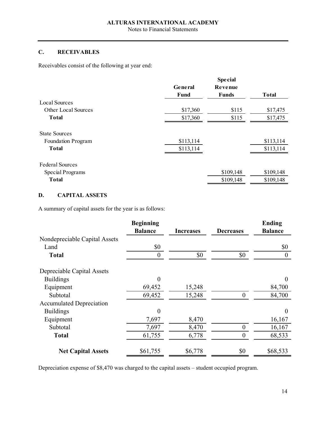Notes to Financial Statements

# **C. RECEIVABLES**

Receivables consist of the following at year end:

|                           | General<br><b>Fund</b> | <b>Special</b><br>Revenue<br><b>Funds</b> | <b>Total</b> |
|---------------------------|------------------------|-------------------------------------------|--------------|
| <b>Local Sources</b>      |                        |                                           |              |
| Other Local Sources       | \$17,360               | \$115                                     | \$17,475     |
| <b>Total</b>              | \$17,360               | \$115                                     | \$17,475     |
| <b>State Sources</b>      |                        |                                           |              |
| <b>Foundation Program</b> | \$113,114              |                                           | \$113,114    |
| <b>Total</b>              | \$113,114              |                                           | \$113,114    |
| <b>Federal Sources</b>    |                        |                                           |              |
| Special Programs          |                        | \$109,148                                 | \$109,148    |
| <b>Total</b>              |                        | \$109,148                                 | \$109,148    |

# **D. CAPITAL ASSETS**

A summary of capital assets for the year is as follows:

|                                 | <b>Beginning</b> |                  |                  | <b>Ending</b>    |
|---------------------------------|------------------|------------------|------------------|------------------|
|                                 | <b>Balance</b>   | <b>Increases</b> | <b>Decreases</b> | <b>Balance</b>   |
| Nondepreciable Capital Assets   |                  |                  |                  |                  |
| Land                            | \$0              |                  |                  | \$0              |
| <b>Total</b>                    | $\theta$         | \$0              | \$0              | $\boldsymbol{0}$ |
| Depreciable Capital Assets      |                  |                  |                  |                  |
| <b>Buildings</b>                | $\theta$         |                  |                  | $\Omega$         |
| Equipment                       | 69,452           | 15,248           |                  | 84,700           |
| Subtotal                        | 69,452           | 15,248           | $\theta$         | 84,700           |
| <b>Accumulated Depreciation</b> |                  |                  |                  |                  |
| <b>Buildings</b>                | $\theta$         |                  |                  | $\theta$         |
| Equipment                       | 7,697            | 8,470            |                  | 16,167           |
| Subtotal                        | 7,697            | 8,470            | $\overline{0}$   | 16,167           |
| <b>Total</b>                    | 61,755           | 6,778            | $\boldsymbol{0}$ | 68,533           |
| <b>Net Capital Assets</b>       | \$61,755         | \$6,778          | \$0              | \$68,533         |

Depreciation expense of \$8,470 was charged to the capital assets – student occupied program.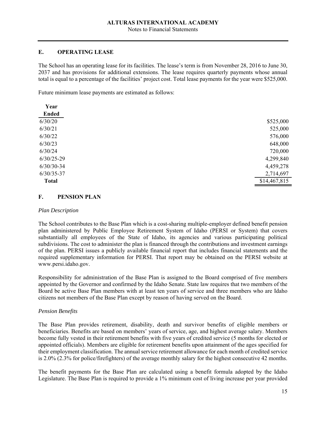Notes to Financial Statements

#### **E. OPERATING LEASE**

The School has an operating lease for its facilities. The lease's term is from November 28, 2016 to June 30, 2037 and has provisions for additional extensions. The lease requires quarterly payments whose annual total is equal to a percentage of the facilities' project cost. Total lease payments for the year were \$525,000.

Future minimum lease payments are estimated as follows:

| Year           |              |
|----------------|--------------|
| <b>Ended</b>   |              |
| 6/30/20        | \$525,000    |
| 6/30/21        | 525,000      |
| 6/30/22        | 576,000      |
| 6/30/23        | 648,000      |
| 6/30/24        | 720,000      |
| $6/30/25 - 29$ | 4,299,840    |
| $6/30/30-34$   | 4,459,278    |
| $6/30/35 - 37$ | 2,714,697    |
| <b>Total</b>   | \$14,467,815 |

#### **F. PENSION PLAN**

#### *Plan Description*

The School contributes to the Base Plan which is a cost-sharing multiple-employer defined benefit pension plan administered by Public Employee Retirement System of Idaho (PERSI or System) that covers substantially all employees of the State of Idaho, its agencies and various participating political subdivisions. The cost to administer the plan is financed through the contributions and investment earnings of the plan. PERSI issues a publicly available financial report that includes financial statements and the required supplementary information for PERSI. That report may be obtained on the PERSI website at www.persi.idaho.gov.

Responsibility for administration of the Base Plan is assigned to the Board comprised of five members appointed by the Governor and confirmed by the Idaho Senate. State law requires that two members of the Board be active Base Plan members with at least ten years of service and three members who are Idaho citizens not members of the Base Plan except by reason of having served on the Board.

#### *Pension Benefits*

The Base Plan provides retirement, disability, death and survivor benefits of eligible members or beneficiaries. Benefits are based on members' years of service, age, and highest average salary. Members become fully vested in their retirement benefits with five years of credited service (5 months for elected or appointed officials). Members are eligible for retirement benefits upon attainment of the ages specified for their employment classification. The annual service retirement allowance for each month of credited service is 2.0% (2.3% for police/firefighters) of the average monthly salary for the highest consecutive 42 months.

The benefit payments for the Base Plan are calculated using a benefit formula adopted by the Idaho Legislature. The Base Plan is required to provide a 1% minimum cost of living increase per year provided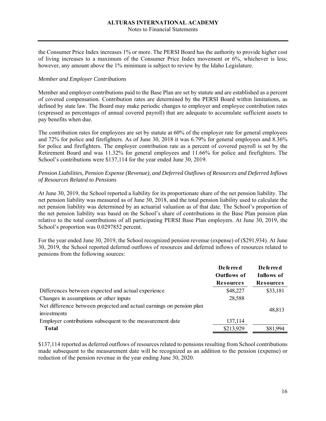#### Notes to Financial Statements

the Consumer Price Index increases 1% or more. The PERSI Board has the authority to provide higher cost of living increases to a maximum of the Consumer Price Index movement or 6%, whichever is less; however, any amount above the 1% minimum is subject to review by the Idaho Legislature.

#### *Member and Employer Contributions*

Member and employer contributions paid to the Base Plan are set by statute and are established as a percent of covered compensation. Contribution rates are determined by the PERSI Board within limitations, as defined by state law. The Board may make periodic changes to employer and employee contribution rates (expressed as percentages of annual covered payroll) that are adequate to accumulate sufficient assets to pay benefits when due.

The contribution rates for employees are set by statute at 60% of the employer rate for general employees and 72% for police and firefighters. As of June 30, 2018 it was 6.79% for general employees and 8.36% for police and firefighters. The employer contribution rate as a percent of covered payroll is set by the Retirement Board and was 11.32% for general employees and 11.66% for police and firefighters. The School's contributions were \$137,114 for the year ended June 30, 2019.

#### *Pension Liabilities, Pension Expense (Revenue), and Deferred Outflows of Resources and Deferred Inflows of Resources Related to Pensions*

At June 30, 2019, the School reported a liability for its proportionate share of the net pension liability. The net pension liability was measured as of June 30, 2018, and the total pension liability used to calculate the net pension liability was determined by an actuarial valuation as of that date. The School's proportion of the net pension liability was based on the School's share of contributions in the Base Plan pension plan relative to the total contributions of all participating PERSI Base Plan employers. At June 30, 2019, the School's proportion was 0.0297852 percent.

For the year ended June 30, 2019, the School recognized pension revenue (expense) of (\$291,934). At June 30, 2019, the School reported deferred outflows of resources and deferred inflows of resources related to pensions from the following sources:

|                                                                                     | <b>Deferred</b><br><b>Outflows of</b> | De fe rre d<br>Inflows of |
|-------------------------------------------------------------------------------------|---------------------------------------|---------------------------|
|                                                                                     | <b>Resources</b>                      | <b>Resources</b>          |
| Differences between expected and actual experience                                  | \$48,227                              | \$33,181                  |
| Changes in assumptions or other inputs                                              | 28,588                                |                           |
| Net difference between projected and actual earnings on pension plan<br>investments |                                       | 48,813                    |
| Employer contributions subsequent to the measurement date                           | 137,114                               |                           |
| Total                                                                               | \$213,929                             | \$81,994                  |

\$137,114 reported as deferred outflows of resources related to pensions resulting from School contributions made subsequent to the measurement date will be recognized as an addition to the pension (expense) or reduction of the pension revenue in the year ending June 30, 2020.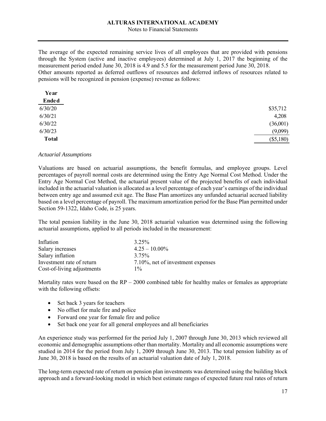Notes to Financial Statements

The average of the expected remaining service lives of all employees that are provided with pensions through the System (active and inactive employees) determined at July 1, 2017 the beginning of the measurement period ended June 30, 2018 is 4.9 and 5.5 for the measurement period June 30, 2018. Other amounts reported as deferred outflows of resources and deferred inflows of resources related to pensions will be recognized in pension (expense) revenue as follows:

| Year         |             |
|--------------|-------------|
| <b>Ended</b> |             |
| 6/30/20      | \$35,712    |
| 6/30/21      | 4,208       |
| 6/30/22      | (36,001)    |
| 6/30/23      | (9,099)     |
| <b>Total</b> | $(\$5,180)$ |
|              |             |

#### *Actuarial Assumptions*

Valuations are based on actuarial assumptions, the benefit formulas, and employee groups. Level percentages of payroll normal costs are determined using the Entry Age Normal Cost Method. Under the Entry Age Normal Cost Method, the actuarial present value of the projected benefits of each individual included in the actuarial valuation is allocated as a level percentage of each year's earnings of the individual between entry age and assumed exit age. The Base Plan amortizes any unfunded actuarial accrued liability based on a level percentage of payroll. The maximum amortization period for the Base Plan permitted under Section 59-1322, Idaho Code, is 25 years.

The total pension liability in the June 30, 2018 actuarial valuation was determined using the following actuarial assumptions, applied to all periods included in the measurement:

| Inflation                  | 3.25%                             |
|----------------------------|-----------------------------------|
| Salary increases           | $4.25 - 10.00\%$                  |
| Salary inflation           | 3.75%                             |
| Investment rate of return  | 7.10%, net of investment expenses |
| Cost-of-living adjustments | $1\%$                             |

Mortality rates were based on the  $RP - 2000$  combined table for healthy males or females as appropriate with the following offsets:

- Set back 3 years for teachers
- No offset for male fire and police
- Forward one year for female fire and police
- Set back one year for all general employees and all beneficiaries

An experience study was performed for the period July 1, 2007 through June 30, 2013 which reviewed all economic and demographic assumptions other than mortality. Mortality and all economic assumptions were studied in 2014 for the period from July 1, 2009 through June 30, 2013. The total pension liability as of June 30, 2018 is based on the results of an actuarial valuation date of July 1, 2018.

The long-term expected rate of return on pension plan investments was determined using the building block approach and a forward-looking model in which best estimate ranges of expected future real rates of return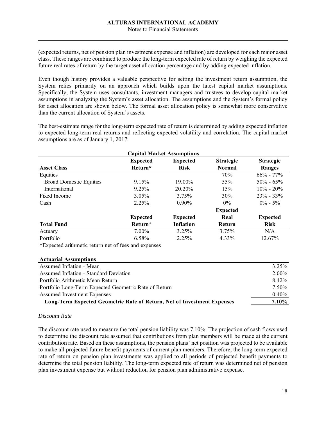#### Notes to Financial Statements

(expected returns, net of pension plan investment expense and inflation) are developed for each major asset class. These ranges are combined to produce the long-term expected rate of return by weighing the expected future real rates of return by the target asset allocation percentage and by adding expected inflation.

Even though history provides a valuable perspective for setting the investment return assumption, the System relies primarily on an approach which builds upon the latest capital market assumptions. Specifically, the System uses consultants, investment managers and trustees to develop capital market assumptions in analyzing the System's asset allocation. The assumptions and the System's formal policy for asset allocation are shown below. The formal asset allocation policy is somewhat more conservative than the current allocation of System's assets.

The best-estimate range for the long-term expected rate of return is determined by adding expected inflation to expected long-term real returns and reflecting expected volatility and correlation. The capital market assumptions are as of January 1, 2017.

|                                                                                                                                                                                                                                                                                                                    |                 | <b>Capital Market Assumptions</b> |                  |                  |
|--------------------------------------------------------------------------------------------------------------------------------------------------------------------------------------------------------------------------------------------------------------------------------------------------------------------|-----------------|-----------------------------------|------------------|------------------|
|                                                                                                                                                                                                                                                                                                                    | <b>Expected</b> | <b>Expected</b>                   | <b>Strategic</b> | <b>Strategic</b> |
| <b>Asset Class</b>                                                                                                                                                                                                                                                                                                 | Return*         | <b>Risk</b>                       | <b>Normal</b>    | <b>Ranges</b>    |
| Equities                                                                                                                                                                                                                                                                                                           |                 |                                   | 70%              | $66\% - 77\%$    |
| <b>Broad Domestic Equities</b>                                                                                                                                                                                                                                                                                     | 9.15%           | 19.00%                            | 55%              | $50\% - 65\%$    |
| International                                                                                                                                                                                                                                                                                                      | 9.25%           | 20.20%                            | 15%              | $10\% - 20\%$    |
| Fixed Income                                                                                                                                                                                                                                                                                                       | 3.05%           | 3.75%                             | $30\%$           | $23\% - 33\%$    |
| Cash                                                                                                                                                                                                                                                                                                               | 2.25%           | $0.90\%$                          | $0\%$            | $0\% - 5\%$      |
|                                                                                                                                                                                                                                                                                                                    |                 |                                   | <b>Expected</b>  |                  |
|                                                                                                                                                                                                                                                                                                                    | <b>Expected</b> | <b>Expected</b>                   | Real             | <b>Expected</b>  |
| <b>Total Fund</b>                                                                                                                                                                                                                                                                                                  | Return*         | Inflation                         | <b>Return</b>    | <b>Risk</b>      |
| Actuary                                                                                                                                                                                                                                                                                                            | 7.00%           | 3.25%                             | 3.75%            | N/A              |
| Portfolio                                                                                                                                                                                                                                                                                                          | 6.58%           | 2.25%                             | 4.33%            | 12.67%           |
| $\sqrt{2}$ $\sqrt{1}$ $\sqrt{1}$ $\sqrt{1}$ $\sqrt{1}$ $\sqrt{1}$ $\sqrt{1}$ $\sqrt{1}$ $\sqrt{1}$ $\sqrt{1}$ $\sqrt{1}$ $\sqrt{1}$ $\sqrt{1}$ $\sqrt{1}$ $\sqrt{1}$ $\sqrt{1}$ $\sqrt{1}$ $\sqrt{1}$ $\sqrt{1}$ $\sqrt{1}$ $\sqrt{1}$ $\sqrt{1}$ $\sqrt{1}$ $\sqrt{1}$ $\sqrt{1}$ $\sqrt{1}$ $\sqrt{1}$ $\sqrt{1$ |                 |                                   |                  |                  |

\*Expected arithmetic return net of fees and expenses

| <b>Actuarial Assumptions</b>                                            |          |
|-------------------------------------------------------------------------|----------|
| Assumed Inflation - Mean                                                | $3.25\%$ |
| Assumed Inflation - Standard Deviation                                  | $2.00\%$ |
| Portfolio Arithmetic Mean Return                                        | 8.42%    |
| Portfolio Long-Term Expected Geometric Rate of Return                   | 7.50%    |
| Assumed Investment Expenses                                             | 0.40%    |
| Long-Term Expected Geometric Rate of Return, Net of Investment Expenses | 7.10%    |

#### *Discount Rate*

The discount rate used to measure the total pension liability was 7.10%. The projection of cash flows used to determine the discount rate assumed that contributions from plan members will be made at the current contribution rate. Based on these assumptions, the pension plans' net position was projected to be available to make all projected future benefit payments of current plan members. Therefore, the long-term expected rate of return on pension plan investments was applied to all periods of projected benefit payments to determine the total pension liability. The long-term expected rate of return was determined net of pension plan investment expense but without reduction for pension plan administrative expense.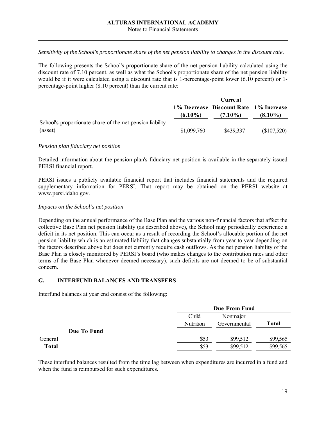*Sensitivity of the School's proportionate share of the net pension liability to changes in the discount rate*.

The following presents the School's proportionate share of the net pension liability calculated using the discount rate of 7.10 percent, as well as what the School's proportionate share of the net pension liability would be if it were calculated using a discount rate that is 1-percentage-point lower (6.10 percent) or 1 percentage-point higher (8.10 percent) than the current rate:

|                                                           | <b>Current</b> |                                       |             |
|-----------------------------------------------------------|----------------|---------------------------------------|-------------|
|                                                           |                | 1% Decrease Discount Rate 1% Increase |             |
|                                                           | $(6.10\%)$     | $(7.10\%)$                            | $(8.10\%)$  |
| School's proportionate share of the net pension liability |                |                                       |             |
| (asset)                                                   | \$1,099,760    | \$439,337                             | (\$107,520) |

#### *Pension plan fiduciary net position*

Detailed information about the pension plan's fiduciary net position is available in the separately issued PERSI financial report.

PERSI issues a publicly available financial report that includes financial statements and the required supplementary information for PERSI. That report may be obtained on the PERSI website at www.persi.idaho.gov.

#### *Impacts on the School's net position*

Depending on the annual performance of the Base Plan and the various non-financial factors that affect the collective Base Plan net pension liability (as described above), the School may periodically experience a deficit in its net position. This can occur as a result of recording the School's allocable portion of the net pension liability which is an estimated liability that changes substantially from year to year depending on the factors described above but does not currently require cash outflows. As the net pension liability of the Base Plan is closely monitored by PERSI's board (who makes changes to the contribution rates and other terms of the Base Plan whenever deemed necessary), such deficits are not deemed to be of substantial concern.

#### **G. INTERFUND BALANCES AND TRANSFERS**

Interfund balances at year end consist of the following:

|             |           | Due From Fund |          |  |
|-------------|-----------|---------------|----------|--|
|             | Child     | Nonmajor      |          |  |
|             | Nutrition | Governmental  | Total    |  |
| Due To Fund |           |               |          |  |
| General     | \$53      | \$99,512      | \$99,565 |  |
| Total       | \$53      | \$99,512      | \$99,565 |  |

These interfund balances resulted from the time lag between when expenditures are incurred in a fund and when the fund is reimbursed for such expenditures.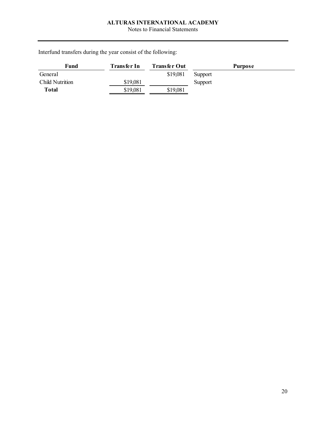Notes to Financial Statements

Interfund transfers during the year consist of the following:

| Fund                   | Transfer In | <b>Transfer Out</b> | <b>Purpose</b> |
|------------------------|-------------|---------------------|----------------|
| General                |             | \$19,081            | Support        |
| <b>Child Nutrition</b> | \$19,081    |                     | Support        |
| Total                  | \$19,081    | \$19,081            |                |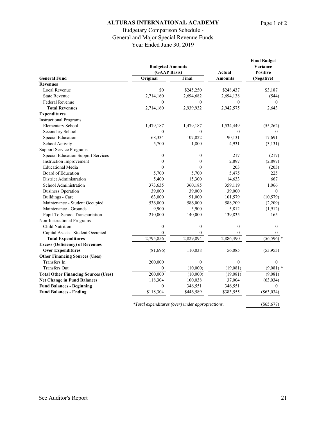# Budgetary Comparison Schedule - General and Major Special Revenue Funds Year Ended June 30, 2019

|                                             |                  | <b>Budgeted Amounts</b><br>(GAAP Basis) |                                 | <b>Final Budget</b><br>Variance<br><b>Positive</b> |
|---------------------------------------------|------------------|-----------------------------------------|---------------------------------|----------------------------------------------------|
| <b>General Fund</b>                         | Original         | Final                                   | <b>Actual</b><br><b>Amounts</b> | (Negative)                                         |
| <b>Revenues</b>                             |                  |                                         |                                 |                                                    |
| Local Revenue                               | \$0              | \$245,250                               | \$248,437                       | \$3,187                                            |
| <b>State Revenue</b>                        | 2,714,160        | 2,694,682                               | 2,694,138                       | (544)                                              |
| <b>Federal Revenue</b>                      | 0                | $\mathbf{0}$                            | $\boldsymbol{0}$                | 0                                                  |
| <b>Total Revenues</b>                       | 2,714,160        | 2,939,932                               | 2,942,575                       | 2,643                                              |
| <b>Expenditures</b>                         |                  |                                         |                                 |                                                    |
| <b>Instructional Programs</b>               |                  |                                         |                                 |                                                    |
| <b>Elementary School</b>                    | 1,479,187        | 1,479,187                               | 1,534,449                       | (55,262)                                           |
| Secondary School                            | $\theta$         | $\mathbf{0}$                            | $\boldsymbol{0}$                | $\Omega$                                           |
| Special Education                           | 68,334           | 107,822                                 | 90,131                          | 17,691                                             |
| School Activity                             | 5,700            | 1,800                                   | 4,931                           | (3, 131)                                           |
| <b>Support Service Programs</b>             |                  |                                         |                                 |                                                    |
| <b>Special Education Support Services</b>   | $\boldsymbol{0}$ | $\boldsymbol{0}$                        | 217                             | (217)                                              |
| Instruction Improvement                     | $\theta$         | $\theta$                                | 2,897                           | (2,897)                                            |
| <b>Educational Media</b>                    | $\theta$         | $\theta$                                | 203                             | (203)                                              |
| Board of Education                          | 5,700            | 5,700                                   | 5,475                           | 225                                                |
| District Administration                     | 5,400            | 15,300                                  | 14,633                          | 667                                                |
| School Administration                       | 373,635          | 360,185                                 | 359,119                         | 1,066                                              |
| <b>Business Operation</b>                   | 39,000           | 39,000                                  | 39,000                          | $\mathbf{0}$                                       |
| <b>Buildings - Care</b>                     | 63,000           | 91,000                                  | 101,579                         | (10, 579)                                          |
| Maintenance - Student Occupied              | 536,000          | 586,000                                 | 588,209                         | (2,209)                                            |
| Maintenance - Grounds                       | 9,900            | 3,900                                   | 5,812                           | (1, 912)                                           |
| Pupil-To-School Transportation              | 210,000          | 140,000                                 | 139,835                         | 165                                                |
| Non-Instructional Programs                  |                  |                                         |                                 |                                                    |
| <b>Child Nutrition</b>                      | $\boldsymbol{0}$ | $\boldsymbol{0}$                        | $\boldsymbol{0}$                | $\mathbf{0}$                                       |
| Capital Assets - Student Occupied           | $\theta$         | $\mathbf{0}$                            | $\overline{0}$                  | $\mathbf{0}$                                       |
| <b>Total Expenditures</b>                   | 2,795,856        | 2,829,894                               | 2,886,490                       | (56, 596)                                          |
| <b>Excess (Deficiency) of Revenues</b>      |                  |                                         |                                 |                                                    |
| <b>Over Expenditures</b>                    | (81,696)         | 110,038                                 | 56,085                          | (53, 953)                                          |
| <b>Other Financing Sources (Uses)</b>       |                  |                                         |                                 |                                                    |
| Transfers In                                | 200,000          | $\mathbf{0}$                            | $\boldsymbol{0}$                | $\mathbf{0}$                                       |
| <b>Transfers Out</b>                        | $\theta$         | (10,000)                                | (19,081)                        | $(9,081)$ *                                        |
| <b>Total Other Financing Sources (Uses)</b> | 200,000          | (10,000)                                | (19,081)                        | (9,081)                                            |
| <b>Net Change in Fund Balances</b>          | 118,304          | 100,038                                 | 37,004                          | (63, 034)                                          |
| <b>Fund Balances - Beginning</b>            | $\theta$         | 346,551                                 | 346,551                         | $\Omega$                                           |
| <b>Fund Balances - Ending</b>               | \$118,304        | \$446,589                               | \$383,555                       | ( \$63, 034)                                       |
|                                             |                  |                                         |                                 |                                                    |

*\*Total expenditures (over) under appropriations.* (\$65,677)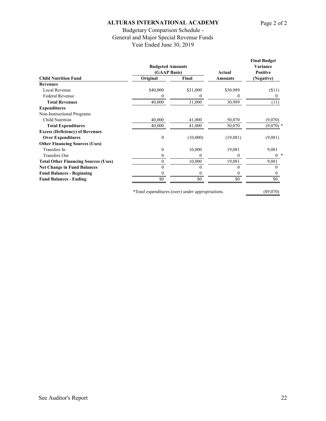# Budgetary Comparison Schedule - General and Major Special Revenue Funds Year Ended June 30, 2019

|                                             | <b>Budgeted Amounts</b> |          |          | <b>Final Budget</b><br>Variance |
|---------------------------------------------|-------------------------|----------|----------|---------------------------------|
|                                             | (GAAP Basis)            |          | Actual   | <b>Positive</b>                 |
| <b>Child Nutrition Fund</b>                 | Original                | Final    | Amounts  | (Negative)                      |
| <b>Revenues</b>                             |                         |          |          |                                 |
| Local Revenue                               | \$40,000                | \$31,000 | \$30,989 | $($ \$11)                       |
| <b>Federal Revenue</b>                      | 0                       | $\theta$ | $\theta$ | $\theta$                        |
| <b>Total Revenues</b>                       | 40,000                  | 31,000   | 30,989   | (11)                            |
| <b>Expenditures</b>                         |                         |          |          |                                 |
| Non-Instructional Programs                  |                         |          |          |                                 |
| Child Nutrition                             | 40,000                  | 41,000   | 50,070   | (9,070)                         |
| <b>Total Expenditures</b>                   | 40,000                  | 41,000   | 50,070   | $(9,070)$ *                     |
| <b>Excess (Deficiency) of Revenues</b>      |                         |          |          |                                 |
| <b>Over Expenditures</b>                    | $\boldsymbol{0}$        | (10,000) | (19,081) | (9,081)                         |
| <b>Other Financing Sources (Uses)</b>       |                         |          |          |                                 |
| Transfers In                                | 0                       | 10,000   | 19,081   | 9,081                           |
| <b>Transfers Out</b>                        | 0                       | 0        | 0        | ∗<br>$\theta$                   |
| <b>Total Other Financing Sources (Uses)</b> | 0                       | 10,000   | 19,081   | 9,081                           |
| <b>Net Change in Fund Balances</b>          | 0                       |          | $\Omega$ | $\Omega$                        |
| <b>Fund Balances - Beginning</b>            | 0                       | $^{(1)}$ | 0        | $\theta$                        |
| <b>Fund Balances - Ending</b>               | \$0                     | \$0      | \$0      | \$0                             |
|                                             |                         |          |          |                                 |

*\*Total expenditures (over) under appropriations.* (\$9,070)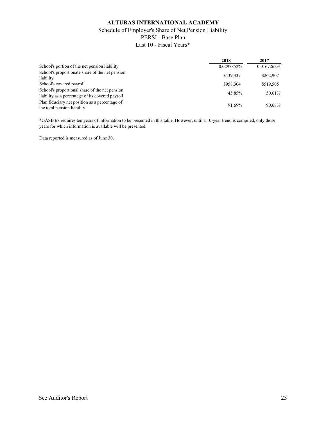# **ALTURAS INTERNATIONAL ACADEMY** Schedule of Employer's Share of Net Pension Liability PERSI - Base Plan Last 10 - Fiscal Years\*

|                                                                                                    | 2018       | 2017       |
|----------------------------------------------------------------------------------------------------|------------|------------|
| School's portion of the net pension liability                                                      | 0.0297852% | 0.0167262% |
| School's proportionate share of the net pension<br>liability                                       | \$439,337  | \$262,907  |
| School's covered payroll                                                                           | \$958,304  | \$519,505  |
| School's proportional share of the net pension<br>liability as a percentage of its covered payroll | 45.85%     | 50.61%     |
| Plan fiduciary net position as a percentage of<br>the total pension liability                      | 91.69%     | 90.68%     |

\*GASB 68 requires ten years of information to be presented in this table. However, until a 10-year trend is compiled, only those years for which information is available will be presented.

Data reported is measured as of June 30.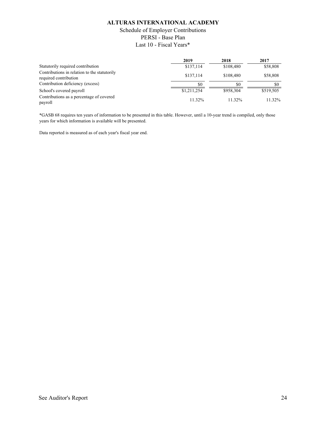# Schedule of Employer Contributions PERSI - Base Plan Last 10 - Fiscal Years\*

|                                                                       | 2019        | 2018      | 2017      |
|-----------------------------------------------------------------------|-------------|-----------|-----------|
| Statutorily required contribution                                     | \$137,114   | \$108,480 | \$58,808  |
| Contributions in relation to the statutorily<br>required contribution | \$137,114   | \$108,480 | \$58,808  |
| Contribution deficiency (excess)                                      | \$0         | SO.       | \$0       |
| School's covered payroll                                              | \$1,211,254 | \$958,304 | \$519,505 |
| Contributions as a percentage of covered<br>payroll                   | 11.32%      | 11.32%    | 11.32%    |

\*GASB 68 requires ten years of information to be presented in this table. However, until a 10-year trend is compiled, only those years for which information is available will be presented.

Data reported is measured as of each year's fiscal year end.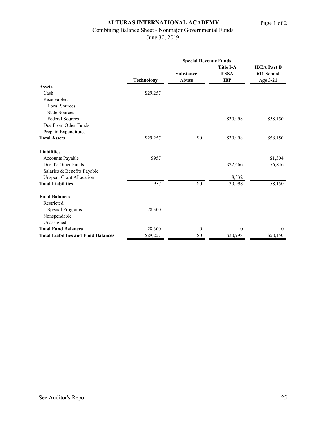# Combining Balance Sheet - Nonmajor Governmental Funds

June 30, 2019

|                                            | <b>Special Revenue Funds</b> |                                  |                                               |                                              |
|--------------------------------------------|------------------------------|----------------------------------|-----------------------------------------------|----------------------------------------------|
|                                            | <b>Technology</b>            | <b>Substance</b><br><b>Abuse</b> | <b>Title I-A</b><br><b>ESSA</b><br><b>IBP</b> | <b>IDEA</b> Part B<br>611 School<br>Age 3-21 |
| <b>Assets</b>                              |                              |                                  |                                               |                                              |
| Cash                                       | \$29,257                     |                                  |                                               |                                              |
| Receivables:                               |                              |                                  |                                               |                                              |
| <b>Local Sources</b>                       |                              |                                  |                                               |                                              |
| <b>State Sources</b>                       |                              |                                  |                                               |                                              |
| <b>Federal Sources</b>                     |                              |                                  | \$30,998                                      | \$58,150                                     |
| Due From Other Funds                       |                              |                                  |                                               |                                              |
| Prepaid Expenditures                       |                              |                                  |                                               |                                              |
| <b>Total Assets</b>                        | \$29,257                     | $\$0$                            | \$30,998                                      | \$58,150                                     |
| <b>Liabilities</b>                         |                              |                                  |                                               |                                              |
| Accounts Payable                           | \$957                        |                                  |                                               | \$1,304                                      |
| Due To Other Funds                         |                              |                                  | \$22,666                                      | 56,846                                       |
| Salaries & Benefits Payable                |                              |                                  |                                               |                                              |
| <b>Unspent Grant Allocation</b>            |                              |                                  | 8,332                                         |                                              |
| <b>Total Liabilities</b>                   | 957                          | $\$0$                            | 30,998                                        | 58,150                                       |
| <b>Fund Balances</b>                       |                              |                                  |                                               |                                              |
| Restricted:                                |                              |                                  |                                               |                                              |
| Special Programs                           | 28,300                       |                                  |                                               |                                              |
| Nonspendable                               |                              |                                  |                                               |                                              |
| Unassigned                                 |                              |                                  |                                               |                                              |
| <b>Total Fund Balances</b>                 | 28,300                       | $\mathbf{0}$                     | $\overline{0}$                                | $\overline{0}$                               |
| <b>Total Liabilities and Fund Balances</b> | \$29,257                     | $\$0$                            | \$30,998                                      | \$58,150                                     |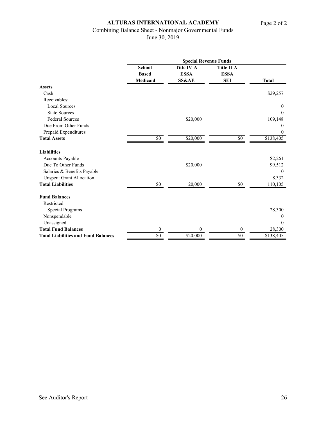# Combining Balance Sheet - Nonmajor Governmental Funds

June 30, 2019

|                                            | <b>Special Revenue Funds</b> |                   |                   |                |  |
|--------------------------------------------|------------------------------|-------------------|-------------------|----------------|--|
|                                            | <b>School</b>                | <b>Title IV-A</b> | <b>Title II-A</b> |                |  |
|                                            | <b>Based</b>                 | <b>ESSA</b>       | <b>ESSA</b>       |                |  |
|                                            | Medicaid                     | <b>SS&amp;AE</b>  | <b>SEI</b>        | <b>Total</b>   |  |
| <b>Assets</b>                              |                              |                   |                   |                |  |
| Cash                                       |                              |                   |                   | \$29,257       |  |
| Receivables:                               |                              |                   |                   |                |  |
| <b>Local Sources</b>                       |                              |                   |                   | $\overline{0}$ |  |
| <b>State Sources</b>                       |                              |                   |                   | $\mathbf{0}$   |  |
| <b>Federal Sources</b>                     |                              | \$20,000          |                   | 109,148        |  |
| Due From Other Funds                       |                              |                   |                   | $\theta$       |  |
| Prepaid Expenditures                       |                              |                   |                   | $\mathbf{0}$   |  |
| <b>Total Assets</b>                        | \$0                          | \$20,000          | \$0               | \$138,405      |  |
| <b>Liabilities</b>                         |                              |                   |                   |                |  |
| <b>Accounts Payable</b>                    |                              |                   |                   | \$2,261        |  |
| Due To Other Funds                         |                              | \$20,000          |                   | 99,512         |  |
| Salaries & Benefits Payable                |                              |                   |                   | $\overline{0}$ |  |
| <b>Unspent Grant Allocation</b>            |                              |                   |                   | 8,332          |  |
| <b>Total Liabilities</b>                   | $\$0$                        | 20,000            | $\$0$             | 110,105        |  |
| <b>Fund Balances</b>                       |                              |                   |                   |                |  |
| Restricted:                                |                              |                   |                   |                |  |
| Special Programs                           |                              |                   |                   | 28,300         |  |
| Nonspendable                               |                              |                   |                   | $\theta$       |  |
| Unassigned                                 |                              |                   |                   | $\mathbf{0}$   |  |
| <b>Total Fund Balances</b>                 | $\boldsymbol{0}$             | $\theta$          | $\mathbf{0}$      | 28,300         |  |
| <b>Total Liabilities and Fund Balances</b> | \$0                          | \$20,000          | \$0               | \$138,405      |  |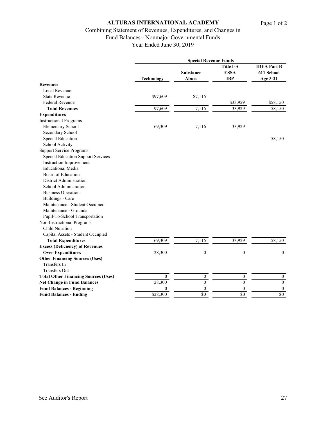# Combining Statement of Revenues, Expenditures, and Changes in Fund Balances - Nonmajor Governmental Funds

Year Ended June 30, 2019

|                                             | <b>Special Revenue Funds</b> |                           |                                               |                                              |
|---------------------------------------------|------------------------------|---------------------------|-----------------------------------------------|----------------------------------------------|
|                                             | <b>Technology</b>            | <b>Substance</b><br>Abuse | <b>Title I-A</b><br><b>ESSA</b><br><b>IBP</b> | <b>IDEA Part B</b><br>611 School<br>Age 3-21 |
| <b>Revenues</b>                             |                              |                           |                                               |                                              |
| Local Revenue                               |                              |                           |                                               |                                              |
| <b>State Revenue</b>                        | \$97,609                     | \$7,116                   |                                               |                                              |
| Federal Revenue                             |                              |                           | \$33,929                                      | \$58,150                                     |
| <b>Total Revenues</b>                       | 97,609                       | 7,116                     | 33,929                                        | 58,150                                       |
| <b>Expenditures</b>                         |                              |                           |                                               |                                              |
| <b>Instructional Programs</b>               |                              |                           |                                               |                                              |
| <b>Elementary School</b>                    | 69,309                       | 7,116                     | 33,929                                        |                                              |
| Secondary School                            |                              |                           |                                               |                                              |
| <b>Special Education</b>                    |                              |                           |                                               | 58,150                                       |
| School Activity                             |                              |                           |                                               |                                              |
| <b>Support Service Programs</b>             |                              |                           |                                               |                                              |
| <b>Special Education Support Services</b>   |                              |                           |                                               |                                              |
| Instruction Improvement                     |                              |                           |                                               |                                              |
| <b>Educational Media</b>                    |                              |                           |                                               |                                              |
| Board of Education                          |                              |                           |                                               |                                              |
| District Administration                     |                              |                           |                                               |                                              |
| School Administration                       |                              |                           |                                               |                                              |
| <b>Business Operation</b>                   |                              |                           |                                               |                                              |
| <b>Buildings - Care</b>                     |                              |                           |                                               |                                              |
| Maintenance - Student Occupied              |                              |                           |                                               |                                              |
| Maintenance - Grounds                       |                              |                           |                                               |                                              |
| Pupil-To-School Transportation              |                              |                           |                                               |                                              |
| Non-Instructional Programs                  |                              |                           |                                               |                                              |
| <b>Child Nutrition</b>                      |                              |                           |                                               |                                              |
| Capital Assets - Student Occupied           |                              |                           |                                               |                                              |
| <b>Total Expenditures</b>                   | 69,309                       | 7,116                     | 33,929                                        | 58,150                                       |
| <b>Excess (Deficiency) of Revenues</b>      |                              |                           |                                               |                                              |
| <b>Over Expenditures</b>                    | 28,300                       | $\boldsymbol{0}$          | $\boldsymbol{0}$                              | $\boldsymbol{0}$                             |
| <b>Other Financing Sources (Uses)</b>       |                              |                           |                                               |                                              |
| Transfers In                                |                              |                           |                                               |                                              |
| <b>Transfers Out</b>                        |                              |                           |                                               |                                              |
| <b>Total Other Financing Sources (Uses)</b> | $\boldsymbol{0}$             | $\boldsymbol{0}$          | 0                                             | $\boldsymbol{0}$                             |
| <b>Net Change in Fund Balances</b>          | 28,300                       | $\overline{0}$            | $\overline{0}$                                | $\boldsymbol{0}$                             |
| <b>Fund Balances - Beginning</b>            | $\boldsymbol{0}$             | $\boldsymbol{0}$          | $\boldsymbol{0}$                              | $\boldsymbol{0}$                             |
| <b>Fund Balances - Ending</b>               | \$28,300                     | $\overline{50}$           | \$0                                           | \$0                                          |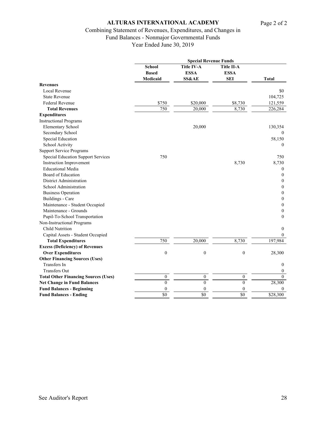# Combining Statement of Revenues, Expenditures, and Changes in

Fund Balances - Nonmajor Governmental Funds

Year Ended June 30, 2019

|                                             |                                    | <b>Special Revenue Funds</b>                  |                                                |                  |
|---------------------------------------------|------------------------------------|-----------------------------------------------|------------------------------------------------|------------------|
|                                             | School<br><b>Based</b><br>Medicaid | Title IV-A<br><b>ESSA</b><br><b>SS&amp;AE</b> | <b>Title II-A</b><br><b>ESSA</b><br><b>SEI</b> | <b>Total</b>     |
|                                             |                                    |                                               |                                                |                  |
|                                             |                                    |                                               |                                                |                  |
| <b>Revenues</b>                             |                                    |                                               |                                                |                  |
| Local Revenue                               |                                    |                                               |                                                | \$0              |
| <b>State Revenue</b>                        |                                    |                                               |                                                | 104,725          |
| <b>Federal Revenue</b>                      | \$750                              | \$20,000                                      | \$8,730                                        | 121,559          |
| <b>Total Revenues</b>                       | 750                                | 20,000                                        | 8,730                                          | 226,284          |
| <b>Expenditures</b>                         |                                    |                                               |                                                |                  |
| <b>Instructional Programs</b>               |                                    |                                               |                                                |                  |
| <b>Elementary School</b>                    |                                    | 20,000                                        |                                                | 130,354          |
| Secondary School                            |                                    |                                               |                                                | $\Omega$         |
| <b>Special Education</b>                    |                                    |                                               |                                                | 58,150           |
| School Activity                             |                                    |                                               |                                                | $\Omega$         |
| <b>Support Service Programs</b>             |                                    |                                               |                                                |                  |
| <b>Special Education Support Services</b>   | 750                                |                                               |                                                | 750              |
| <b>Instruction Improvement</b>              |                                    |                                               | 8,730                                          | 8,730            |
| <b>Educational Media</b>                    |                                    |                                               |                                                | $\mathbf{0}$     |
| Board of Education                          |                                    |                                               |                                                | $\mathbf{0}$     |
| <b>District Administration</b>              |                                    |                                               |                                                | 0                |
| School Administration                       |                                    |                                               |                                                | 0                |
| <b>Business Operation</b>                   |                                    |                                               |                                                | $\mathbf{0}$     |
| <b>Buildings - Care</b>                     |                                    |                                               |                                                | $\mathbf{0}$     |
| Maintenance - Student Occupied              |                                    |                                               |                                                | $\mathbf{0}$     |
| Maintenance - Grounds                       |                                    |                                               |                                                | 0                |
| Pupil-To-School Transportation              |                                    |                                               |                                                | 0                |
| Non-Instructional Programs                  |                                    |                                               |                                                |                  |
| <b>Child Nutrition</b>                      |                                    |                                               |                                                | 0                |
| Capital Assets - Student Occupied           |                                    |                                               |                                                | $\mathbf{0}$     |
| <b>Total Expenditures</b>                   | 750                                | 20,000                                        | 8,730                                          | 197,984          |
| <b>Excess (Deficiency) of Revenues</b>      |                                    |                                               |                                                |                  |
| <b>Over Expenditures</b>                    | $\boldsymbol{0}$                   | $\theta$                                      | $\boldsymbol{0}$                               | 28,300           |
| <b>Other Financing Sources (Uses)</b>       |                                    |                                               |                                                |                  |
| Transfers In                                |                                    |                                               |                                                | $\mathbf{0}$     |
| <b>Transfers Out</b>                        |                                    |                                               |                                                | $\overline{0}$   |
| <b>Total Other Financing Sources (Uses)</b> | $\boldsymbol{0}$                   | $\boldsymbol{0}$                              | $\boldsymbol{0}$                               | $\overline{0}$   |
| <b>Net Change in Fund Balances</b>          | $\theta$                           | $\theta$                                      | $\theta$                                       | 28,300           |
| <b>Fund Balances - Beginning</b>            | $\mathbf{0}$                       | $\theta$                                      | $\mathbf{0}$                                   | $\boldsymbol{0}$ |
| <b>Fund Balances - Ending</b>               | \$0                                | \$0                                           | \$0                                            | \$28,300         |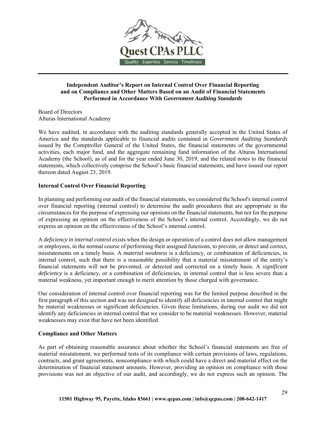

#### **Independent Auditor's Report on Internal Control Over Financial Reporting and on Compliance and Other Matters Based on an Audit of Financial Statements Performed in Accordance With** *Government Auditing Standards*

Board of Directors Alturas International Academy

We have audited, in accordance with the auditing standards generally accepted in the United States of America and the standards applicable to financial audits contained in *Government Auditing Standards* issued by the Comptroller General of the United States, the financial statements of the governmental activities, each major fund, and the aggregate remaining fund information of the Alturas International Academy (the School), as of and for the year ended June 30, 2019, and the related notes to the financial statements, which collectively comprise the School's basic financial statements, and have issued our report thereon dated August 23, 2019.

#### **Internal Control Over Financial Reporting**

In planning and performing our audit of the financial statements, we considered the School's internal control over financial reporting (internal control) to determine the audit procedures that are appropriate in the circumstances for the purpose of expressing our opinions on the financial statements, but not for the purpose of expressing an opinion on the effectiveness of the School's internal control. Accordingly, we do not express an opinion on the effectiveness of the School's internal control.

A *deficiency in internal control* exists when the design or operation of a control does not allow management or employees, in the normal course of performing their assigned functions, to prevent, or detect and correct, misstatements on a timely basis. A *material weakness* is a deficiency, or combination of deficiencies, in internal control, such that there is a reasonable possibility that a material misstatement of the entity's financial statements will not be prevented, or detected and corrected on a timely basis. A *significant deficiency* is a deficiency, or a combination of deficiencies, in internal control that is less severe than a material weakness, yet important enough to merit attention by those charged with governance.

Our consideration of internal control over financial reporting was for the limited purpose described in the first paragraph of this section and was not designed to identify all deficiencies in internal control that might be material weaknesses or significant deficiencies. Given these limitations, during our audit we did not identify any deficiencies in internal control that we consider to be material weaknesses. However, material weaknesses may exist that have not been identified.

#### **Compliance and Other Matters**

As part of obtaining reasonable assurance about whether the School's financial statements are free of material misstatement, we performed tests of its compliance with certain provisions of laws, regulations, contracts, and grant agreements, noncompliance with which could have a direct and material effect on the determination of financial statement amounts. However, providing an opinion on compliance with those provisions was not an objective of our audit, and accordingly, we do not express such an opinion. The